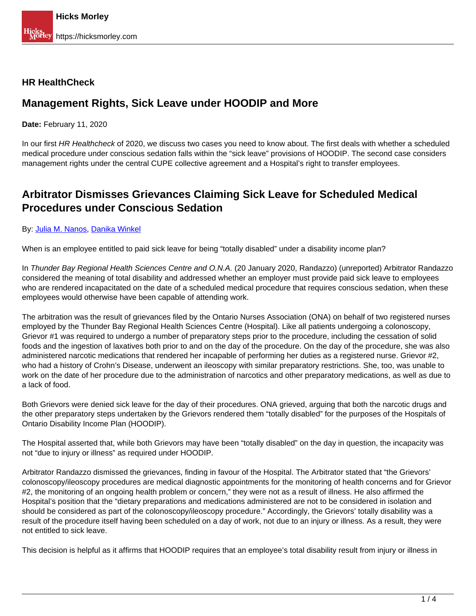### **HR HealthCheck**

## **Management Rights, Sick Leave under HOODIP and More**

**Date:** February 11, 2020

In our first HR Healthcheck of 2020, we discuss two cases you need to know about. The first deals with whether a scheduled medical procedure under conscious sedation falls within the "sick leave" provisions of HOODIP. The second case considers management rights under the central CUPE collective agreement and a Hospital's right to transfer employees.

## **Arbitrator Dismisses Grievances Claiming Sick Leave for Scheduled Medical Procedures under Conscious Sedation**

#### By: [Julia M. Nanos,](https://hicksmorley.com/people/julia-m-nanos/) Danika Winkel

When is an employee entitled to paid sick leave for being "totally disabled" under a disability income plan?

In Thunder Bay Regional Health Sciences Centre and O.N.A. (20 January 2020, Randazzo) (unreported) Arbitrator Randazzo considered the meaning of total disability and addressed whether an employer must provide paid sick leave to employees who are rendered incapacitated on the date of a scheduled medical procedure that requires conscious sedation, when these employees would otherwise have been capable of attending work.

The arbitration was the result of grievances filed by the Ontario Nurses Association (ONA) on behalf of two registered nurses employed by the Thunder Bay Regional Health Sciences Centre (Hospital). Like all patients undergoing a colonoscopy, Grievor #1 was required to undergo a number of preparatory steps prior to the procedure, including the cessation of solid foods and the ingestion of laxatives both prior to and on the day of the procedure. On the day of the procedure, she was also administered narcotic medications that rendered her incapable of performing her duties as a registered nurse. Grievor #2, who had a history of Crohn's Disease, underwent an ileoscopy with similar preparatory restrictions. She, too, was unable to work on the date of her procedure due to the administration of narcotics and other preparatory medications, as well as due to a lack of food.

Both Grievors were denied sick leave for the day of their procedures. ONA grieved, arguing that both the narcotic drugs and the other preparatory steps undertaken by the Grievors rendered them "totally disabled" for the purposes of the Hospitals of Ontario Disability Income Plan (HOODIP).

The Hospital asserted that, while both Grievors may have been "totally disabled" on the day in question, the incapacity was not "due to injury or illness" as required under HOODIP.

Arbitrator Randazzo dismissed the grievances, finding in favour of the Hospital. The Arbitrator stated that "the Grievors' colonoscopy/ileoscopy procedures are medical diagnostic appointments for the monitoring of health concerns and for Grievor #2, the monitoring of an ongoing health problem or concern," they were not as a result of illness. He also affirmed the Hospital's position that the "dietary preparations and medications administered are not to be considered in isolation and should be considered as part of the colonoscopy/ileoscopy procedure." Accordingly, the Grievors' totally disability was a result of the procedure itself having been scheduled on a day of work, not due to an injury or illness. As a result, they were not entitled to sick leave.

This decision is helpful as it affirms that HOODIP requires that an employee's total disability result from injury or illness in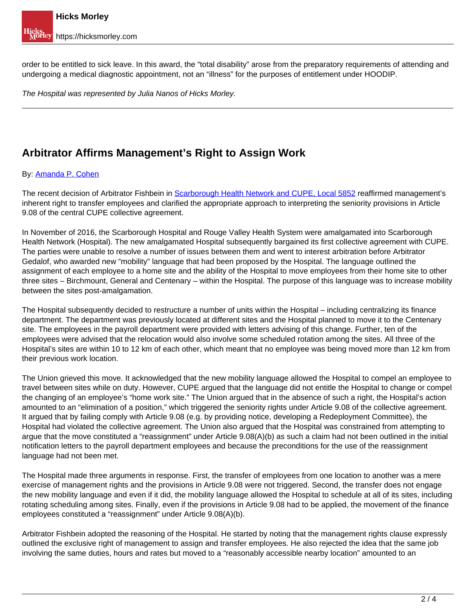order to be entitled to sick leave. In this award, the "total disability" arose from the preparatory requirements of attending and undergoing a medical diagnostic appointment, not an "illness" for the purposes of entitlement under HOODIP.

The Hospital was represented by Julia Nanos of Hicks Morley.

# **Arbitrator Affirms Management's Right to Assign Work**

#### By: Amanda P. Cohen

The recent decision of Arbitrator Fishbein in Scarborough Health Network and CUPE, Local 5852 reaffirmed management's inherent right to transfer employees and clarified the appropriate approach to interpreting the seniority provisions in Article 9.08 of the central CUPE collective agreement.

In November of 2016, the Scarborough Hospital and Rouge Valley Health System were amalgamated into Scarborough Health Network (Hospital). The new amalgamated Hospital subsequently bargained its first collective agreement with CUPE. The parties were unable to resolve a number of issues between them and went to interest arbitration before Arbitrator Gedalof, who awarded new "mobility" language that had been proposed by the Hospital. The language outlined the assignment of each employee to a home site and the ability of the Hospital to move employees from their home site to other three sites – Birchmount, General and Centenary – within the Hospital. The purpose of this language was to increase mobility between the sites post-amalgamation.

The Hospital subsequently decided to restructure a number of units within the Hospital – including centralizing its finance department. The department was previously located at different sites and the Hospital planned to move it to the Centenary site. The employees in the payroll department were provided with letters advising of this change. Further, ten of the employees were advised that the relocation would also involve some scheduled rotation among the sites. All three of the Hospital's sites are within 10 to 12 km of each other, which meant that no employee was being moved more than 12 km from their previous work location.

The Union grieved this move. It acknowledged that the new mobility language allowed the Hospital to compel an employee to travel between sites while on duty. However, CUPE argued that the language did not entitle the Hospital to change or compel the changing of an employee's "home work site." The Union argued that in the absence of such a right, the Hospital's action amounted to an "elimination of a position," which triggered the seniority rights under Article 9.08 of the collective agreement. It argued that by failing comply with Article 9.08 (e.g. by providing notice, developing a Redeployment Committee), the Hospital had violated the collective agreement. The Union also argued that the Hospital was constrained from attempting to argue that the move constituted a "reassignment" under Article 9.08(A)(b) as such a claim had not been outlined in the initial notification letters to the payroll department employees and because the preconditions for the use of the reassignment language had not been met.

The Hospital made three arguments in response. First, the transfer of employees from one location to another was a mere exercise of management rights and the provisions in Article 9.08 were not triggered. Second, the transfer does not engage the new mobility language and even if it did, the mobility language allowed the Hospital to schedule at all of its sites, including rotating scheduling among sites. Finally, even if the provisions in Article 9.08 had to be applied, the movement of the finance employees constituted a "reassignment" under Article 9.08(A)(b).

Arbitrator Fishbein adopted the reasoning of the Hospital. He started by noting that the management rights clause expressly outlined the exclusive right of management to assign and transfer employees. He also rejected the idea that the same job involving the same duties, hours and rates but moved to a "reasonably accessible nearby location" amounted to an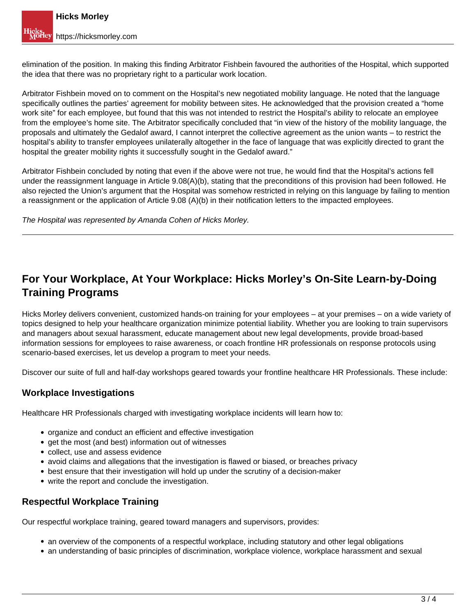elimination of the position. In making this finding Arbitrator Fishbein favoured the authorities of the Hospital, which supported the idea that there was no proprietary right to a particular work location.

Arbitrator Fishbein moved on to comment on the Hospital's new negotiated mobility language. He noted that the language specifically outlines the parties' agreement for mobility between sites. He acknowledged that the provision created a "home work site" for each employee, but found that this was not intended to restrict the Hospital's ability to relocate an employee from the employee's home site. The Arbitrator specifically concluded that "in view of the history of the mobility language, the proposals and ultimately the Gedalof award, I cannot interpret the collective agreement as the union wants – to restrict the hospital's ability to transfer employees unilaterally altogether in the face of language that was explicitly directed to grant the hospital the greater mobility rights it successfully sought in the Gedalof award."

Arbitrator Fishbein concluded by noting that even if the above were not true, he would find that the Hospital's actions fell under the reassignment language in Article 9.08(A)(b), stating that the preconditions of this provision had been followed. He also rejected the Union's argument that the Hospital was somehow restricted in relying on this language by failing to mention a reassignment or the application of Article 9.08 (A)(b) in their notification letters to the impacted employees.

The Hospital was represented by Amanda Cohen of Hicks Morley.

## **For Your Workplace, At Your Workplace: Hicks Morley's On-Site Learn-by-Doing Training Programs**

Hicks Morley delivers convenient, customized hands-on training for your employees – at your premises – on a wide variety of topics designed to help your healthcare organization minimize potential liability. Whether you are looking to train supervisors and managers about sexual harassment, educate management about new legal developments, provide broad-based information sessions for employees to raise awareness, or coach frontline HR professionals on response protocols using scenario-based exercises, let us develop a program to meet your needs.

Discover our suite of full and half-day workshops geared towards your frontline healthcare HR Professionals. These include:

### **Workplace Investigations**

Healthcare HR Professionals charged with investigating workplace incidents will learn how to:

- organize and conduct an efficient and effective investigation
- get the most (and best) information out of witnesses
- collect, use and assess evidence
- avoid claims and allegations that the investigation is flawed or biased, or breaches privacy
- best ensure that their investigation will hold up under the scrutiny of a decision-maker
- write the report and conclude the investigation.

#### **Respectful Workplace Training**

Our respectful workplace training, geared toward managers and supervisors, provides:

- an overview of the components of a respectful workplace, including statutory and other legal obligations
- an understanding of basic principles of discrimination, workplace violence, workplace harassment and sexual